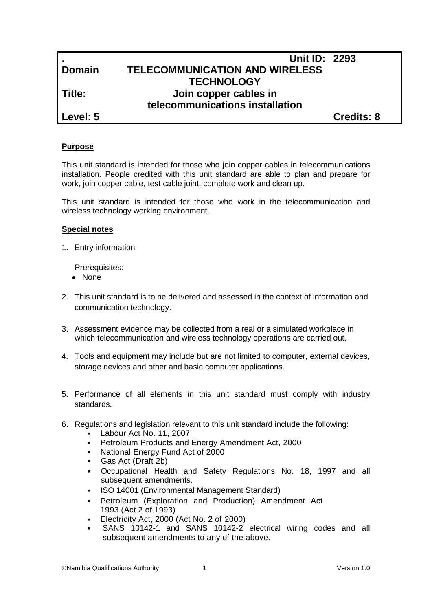# **. Unit ID: 2293 Domain TELECOMMUNICATION AND WIRELESS TECHNOLOGY Title: Join copper cables in telecommunications installation**

**Level: 5 Credits: 8**

# **Purpose**

This unit standard is intended for those who join copper cables in telecommunications installation. People credited with this unit standard are able to plan and prepare for work, join copper cable, test cable joint, complete work and clean up.

This unit standard is intended for those who work in the telecommunication and wireless technology working environment.

# **Special notes**

1. Entry information:

Prerequisites:

- None
- 2. This unit standard is to be delivered and assessed in the context of information and communication technology.
- 3. Assessment evidence may be collected from a real or a simulated workplace in which telecommunication and wireless technology operations are carried out.
- 4. Tools and equipment may include but are not limited to computer, external devices, storage devices and other and basic computer applications.
- 5. Performance of all elements in this unit standard must comply with industry standards.
- 6. Regulations and legislation relevant to this unit standard include the following:
	- Labour Act No. 11, 2007
	- **Petroleum Products and Energy Amendment Act, 2000**
	- National Energy Fund Act of 2000
	- Gas Act (Draft 2b)
	- Occupational Health and Safety Regulations No. 18, 1997 and all subsequent amendments.
	- ISO 14001 (Environmental Management Standard)
	- Petroleum (Exploration and Production) Amendment Act 1993 (Act 2 of 1993)
	- Electricity Act, 2000 (Act No. 2 of 2000)
	- SANS 10142-1 and SANS 10142-2 electrical wiring codes and all subsequent amendments to any of the above.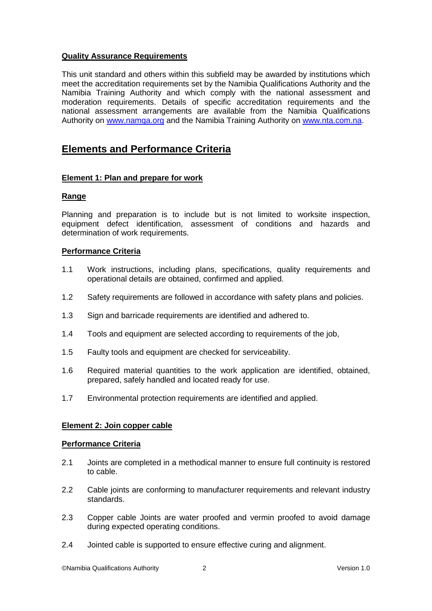# **Quality Assurance Requirements**

This unit standard and others within this subfield may be awarded by institutions which meet the accreditation requirements set by the Namibia Qualifications Authority and the Namibia Training Authority and which comply with the national assessment and moderation requirements. Details of specific accreditation requirements and the national assessment arrangements are available from the Namibia Qualifications Authority on [www.namqa.org](http://www.namqa.org/) and the Namibia Training Authority on [www.nta.com.na.](http://www.nta.com.na/)

# **Elements and Performance Criteria**

# **Element 1: Plan and prepare for work**

# **Range**

Planning and preparation is to include but is not limited to worksite inspection, equipment defect identification, assessment of conditions and hazards and determination of work requirements.

### **Performance Criteria**

- 1.1 Work instructions, including plans, specifications, quality requirements and operational details are obtained, confirmed and applied.
- 1.2 Safety requirements are followed in accordance with safety plans and policies.
- 1.3 Sign and barricade requirements are identified and adhered to.
- 1.4 Tools and equipment are selected according to requirements of the job,
- 1.5 Faulty tools and equipment are checked for serviceability.
- 1.6 Required material quantities to the work application are identified, obtained, prepared, safely handled and located ready for use.
- 1.7 Environmental protection requirements are identified and applied.

# **Element 2: Join copper cable**

#### **Performance Criteria**

- 2.1 Joints are completed in a methodical manner to ensure full continuity is restored to cable.
- 2.2 Cable joints are conforming to manufacturer requirements and relevant industry standards.
- 2.3 Copper cable Joints are water proofed and vermin proofed to avoid damage during expected operating conditions.
- 2.4 Jointed cable is supported to ensure effective curing and alignment.